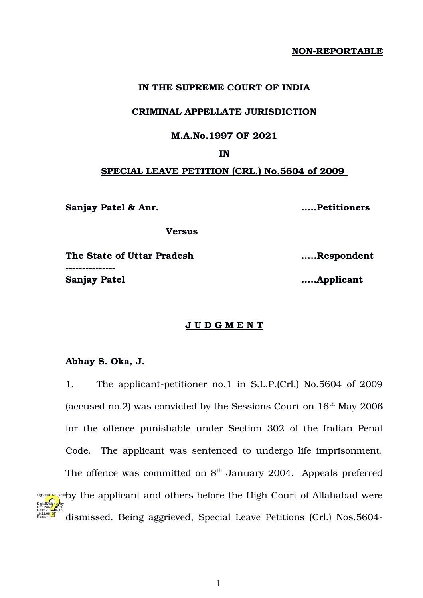# **NON-REPORTABLE**

### **IN THE SUPREME COURT OF INDIA**

### **CRIMINAL APPELLATE JURISDICTION**

# **M.A.No.1997 OF 2021**

## **IN**

# **SPECIAL LEAVE PETITION (CRL.) No.5604 of 2009**

**Sanjay Patel & Anr. …..Petitioners**

 **Versus**

**The State of Uttar Pradesh …..Respondent** ----------------

**Sanjay Patel …..Applicant**

### **J U D G M E N T**

# **Abhay S. Oka, J.**

16:11:08<sup>1ST</sup> Reason:

1. The applicant-petitioner no.1 in S.L.P.(Crl.) No.5604 of 2009 (accused no.2) was convicted by the Sessions Court on  $16<sup>th</sup>$  May 2006 for the offence punishable under Section 302 of the Indian Penal Code. The applicant was sentenced to undergo life imprisonment. The offence was committed on  $8<sup>th</sup>$  January 2004. Appeals preferred Signature Not Verifi**ed y** the applicant and others before the High Court of Allahabad were dismissed. Being aggrieved, Special Leave Petitions (Crl.) Nos.5604 Digitally signed by DEEPAK<mark>/SIN</mark>GH Date: 2022.04.13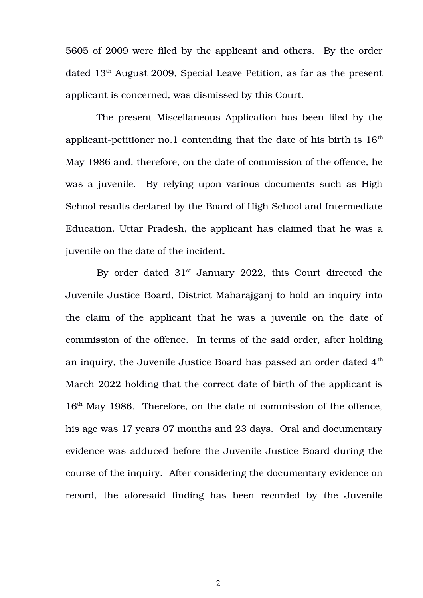5605 of 2009 were filed by the applicant and others. By the order dated 13th August 2009, Special Leave Petition, as far as the present applicant is concerned, was dismissed by this Court.

The present Miscellaneous Application has been filed by the applicant-petitioner no.1 contending that the date of his birth is  $16<sup>th</sup>$ May 1986 and, therefore, on the date of commission of the offence, he was a juvenile. By relying upon various documents such as High School results declared by the Board of High School and Intermediate Education, Uttar Pradesh, the applicant has claimed that he was a juvenile on the date of the incident.

By order dated  $31<sup>st</sup>$  January 2022, this Court directed the Juvenile Justice Board, District Maharajganj to hold an inquiry into the claim of the applicant that he was a juvenile on the date of commission of the offence. In terms of the said order, after holding an inquiry, the Juvenile Justice Board has passed an order dated  $4<sup>th</sup>$ March 2022 holding that the correct date of birth of the applicant is  $16<sup>th</sup>$  May 1986. Therefore, on the date of commission of the offence, his age was 17 years 07 months and 23 days. Oral and documentary evidence was adduced before the Juvenile Justice Board during the course of the inquiry. After considering the documentary evidence on record, the aforesaid finding has been recorded by the Juvenile

2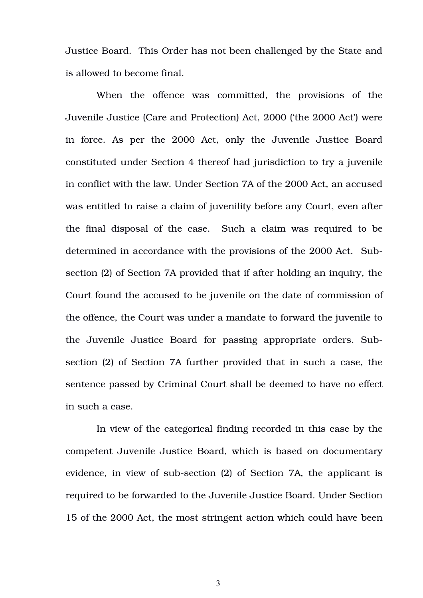Justice Board. This Order has not been challenged by the State and is allowed to become final.

When the offence was committed, the provisions of the Juvenile Justice (Care and Protection) Act, 2000 ('the 2000 Act') were in force. As per the 2000 Act, only the Juvenile Justice Board constituted under Section 4 thereof had jurisdiction to try a juvenile in conflict with the law. Under Section 7A of the 2000 Act, an accused was entitled to raise a claim of juvenility before any Court, even after the final disposal of the case. Such a claim was required to be determined in accordance with the provisions of the 2000 Act. Subsection (2) of Section 7A provided that if after holding an inquiry, the Court found the accused to be juvenile on the date of commission of the offence, the Court was under a mandate to forward the juvenile to the Juvenile Justice Board for passing appropriate orders. Subsection (2) of Section 7A further provided that in such a case, the sentence passed by Criminal Court shall be deemed to have no effect in such a case.

In view of the categorical finding recorded in this case by the competent Juvenile Justice Board, which is based on documentary evidence, in view of sub-section (2) of Section 7A, the applicant is required to be forwarded to the Juvenile Justice Board. Under Section 15 of the 2000 Act, the most stringent action which could have been

3